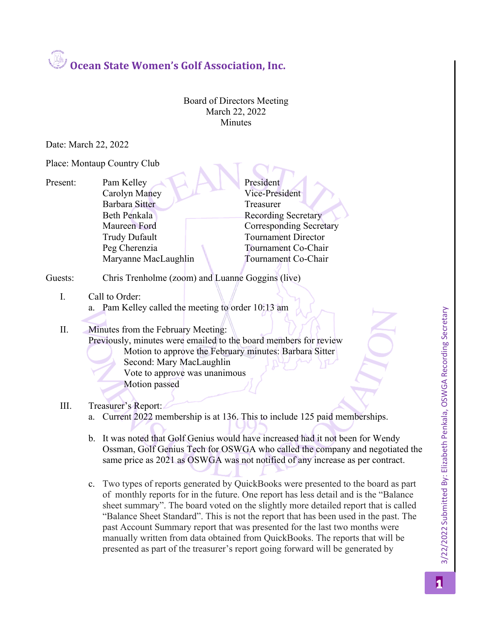**Ocean State Women's Golf Association, Inc.**

Board of Directors Meeting March 22, 2022 **Minutes** 

Date: March 22, 2022

Place: Montaup Country Club

Present: Pam Kelley President Carolyn Maney Vice-President Barbara Sitter Treasurer Beth Penkala Recording Secretary Maureen Ford Corresponding Secretary Trudy Dufault Tournament Director Peg Cherenzia Tournament Co-Chair Maryanne MacLaughlin Tournament Co-Chair

- Guests: Chris Trenholme (zoom) and Luanne Goggins (live)
	- I. Call to Order: a. Pam Kelley called the meeting to order 10:13 am

## II. Minutes from the February Meeting: Previously, minutes were emailed to the board members for review Motion to approve the February minutes: Barbara Sitter

- Second: Mary MacLaughlin Vote to approve was unanimous Motion passed
- III. Treasurer's Report:
	- a. Current 2022 membership is at 136. This to include 125 paid memberships.
	- b. It was noted that Golf Genius would have increased had it not been for Wendy Ossman, Golf Genius Tech for OSWGA who called the company and negotiated the same price as 2021 as OSWGA was not notified of any increase as per contract.
	- c. Two types of reports generated by QuickBooks were presented to the board as part of monthly reports for in the future. One report has less detail and is the "Balance sheet summary". The board voted on the slightly more detailed report that is called "Balance Sheet Standard". This is not the report that has been used in the past. The past Account Summary report that was presented for the last two months were manually written from data obtained from QuickBooks. The reports that will be presented as part of the treasurer's report going forward will be generated by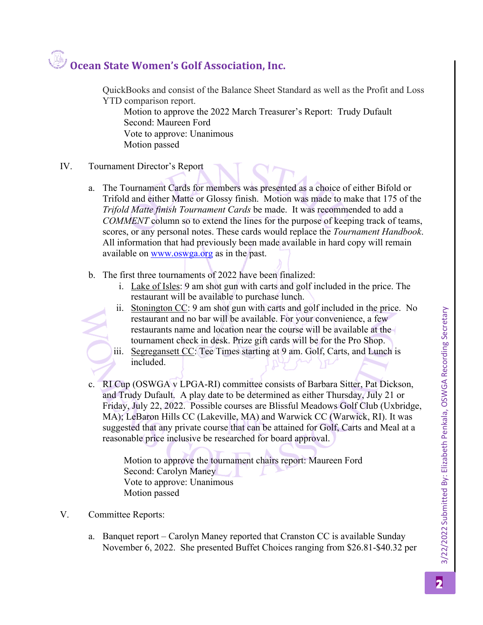## **Ocean State Women's Golf Association, Inc.**

QuickBooks and consist of the Balance Sheet Standard as well as the Profit and Loss YTD comparison report.

Motion to approve the 2022 March Treasurer's Report: Trudy Dufault Second: Maureen Ford Vote to approve: Unanimous Motion passed

- IV. Tournament Director's Report
	- a. The Tournament Cards for members was presented as a choice of either Bifold or Trifold and either Matte or Glossy finish. Motion was made to make that 175 of the *Trifold Matte finish Tournament Cards* be made. It was recommended to add a *COMMENT* column so to extend the lines for the purpose of keeping track of teams, scores, or any personal notes. These cards would replace the *Tournament Handbook*. All information that had previously been made available in hard copy will remain available on www.oswga.org as in the past.
	- b. The first three tournaments of 2022 have been finalized:
		- i. Lake of Isles: 9 am shot gun with carts and golf included in the price. The restaurant will be available to purchase lunch.
		- ii. Stonington CC: 9 am shot gun with carts and golf included in the price. No restaurant and no bar will be available. For your convenience, a few restaurants name and location near the course will be available at the tournament check in desk. Prize gift cards will be for the Pro Shop.
		- iii. Segregansett CC: Tee Times starting at 9 am. Golf, Carts, and Lunch is included.
	- c. RI Cup (OSWGA v LPGA-RI) committee consists of Barbara Sitter, Pat Dickson, and Trudy Dufault. A play date to be determined as either Thursday, July 21 or Friday, July 22, 2022. Possible courses are Blissful Meadows Golf Club (Uxbridge, MA); LeBaron Hills CC (Lakeville, MA) and Warwick CC (Warwick, RI). It was suggested that any private course that can be attained for Golf, Carts and Meal at a reasonable price inclusive be researched for board approval.

Motion to approve the tournament chairs report: Maureen Ford Second: Carolyn Maney Vote to approve: Unanimous Motion passed

- V. Committee Reports:
	- a. Banquet report Carolyn Maney reported that Cranston CC is available Sunday November 6, 2022. She presented Buffet Choices ranging from \$26.81-\$40.32 per